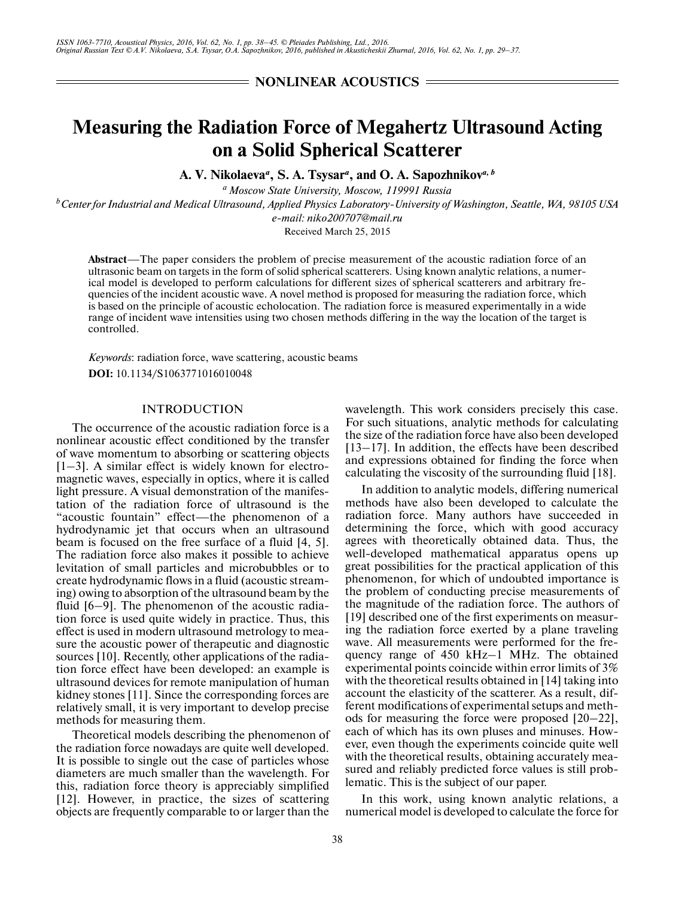**NONLINEAR ACOUSTICS =** 

# **Measuring the Radiation Force of Megahertz Ultrasound Acting on a Solid Spherical Scatterer**

**A. V. Nikolaeva***<sup>a</sup>* **, S. A. Tsysar***<sup>a</sup>* **, and O. A. Sapozhnikov***a, b*

*a Moscow State University, Moscow, 119991 Russia b Center for Industrial and Medical Ultrasound, Applied Physics Laboratory-University of Washington, Seattle, WA, 98105 USA e-mail: niko200707@mail.ru* Received March 25, 2015

**Abstract**—The paper considers the problem of precise measurement of the acoustic radiation force of an ultrasonic beam on targets in the form of solid spherical scatterers. Using known analytic relations, a numer ical model is developed to perform calculations for different sizes of spherical scatterers and arbitrary fre quencies of the incident acoustic wave. A novel method is proposed for measuring the radiation force, which is based on the principle of acoustic echolocation. The radiation force is measured experimentally in a wide range of incident wave intensities using two chosen methods differing in the way the location of the target is controlled.

*Keywords*: radiation force, wave scattering, acoustic beams **DOI:** 10.1134/S1063771016010048

### INTRODUCTION

The occurrence of the acoustic radiation force is a nonlinear acoustic effect conditioned by the transfer of wave momentum to absorbing or scattering objects [1–3]. A similar effect is widely known for electro magnetic waves, especially in optics, where it is called light pressure. A visual demonstration of the manifes tation of the radiation force of ultrasound is the "acoustic fountain" effect—the phenomenon of a hydrodynamic jet that occurs when an ultrasound beam is focused on the free surface of a fluid [4, 5]. The radiation force also makes it possible to achieve levitation of small particles and microbubbles or to create hydrodynamic flows in a fluid (acoustic stream ing) owing to absorption of the ultrasound beam by the fluid [6–9]. The phenomenon of the acoustic radia tion force is used quite widely in practice. Thus, this effect is used in modern ultrasound metrology to mea sure the acoustic power of therapeutic and diagnostic sources [10]. Recently, other applications of the radia tion force effect have been developed: an example is ultrasound devices for remote manipulation of human kidney stones [11]. Since the corresponding forces are relatively small, it is very important to develop precise methods for measuring them.

Theoretical models describing the phenomenon of the radiation force nowadays are quite well developed. It is possible to single out the case of particles whose diameters are much smaller than the wavelength. For this, radiation force theory is appreciably simplified [12]. However, in practice, the sizes of scattering objects are frequently comparable to or larger than the

wavelength. This work considers precisely this case. For such situations, analytic methods for calculating the size of the radiation force have also been developed [13–17]. In addition, the effects have been described and expressions obtained for finding the force when calculating the viscosity of the surrounding fluid [18].

In addition to analytic models, differing numerical methods have also been developed to calculate the radiation force. Many authors have succeeded in determining the force, which with good accuracy agrees with theoretically obtained data. Thus, the well-developed mathematical apparatus opens up great possibilities for the practical application of this phenomenon, for which of undoubted importance is the problem of conducting precise measurements of the magnitude of the radiation force. The authors of [19] described one of the first experiments on measur ing the radiation force exerted by a plane traveling wave. All measurements were performed for the fre quency range of 450 kHz–1 MHz. The obtained experimental points coincide within error limits of 3% with the theoretical results obtained in [14] taking into account the elasticity of the scatterer. As a result, dif ferent modifications of experimental setups and meth ods for measuring the force were proposed [20–22], each of which has its own pluses and minuses. How ever, even though the experiments coincide quite well with the theoretical results, obtaining accurately mea sured and reliably predicted force values is still prob lematic. This is the subject of our paper.

In this work, using known analytic relations, a numerical model is developed to calculate the force for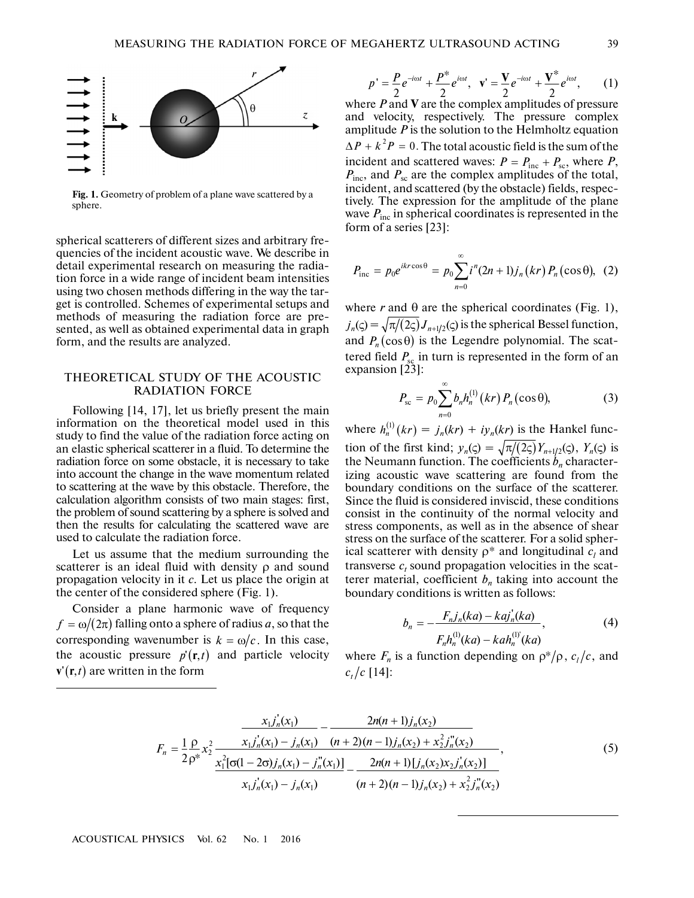

**Fig. 1.** Geometry of problem of a plane wave scattered by a sphere.

spherical scatterers of different sizes and arbitrary fre quencies of the incident acoustic wave. We describe in detail experimental research on measuring the radia tion force in a wide range of incident beam intensities using two chosen methods differing in the way the tar get is controlled. Schemes of experimental setups and methods of measuring the radiation force are pre sented, as well as obtained experimental data in graph form, and the results are analyzed.

### THEORETICAL STUDY OF THE ACOUSTIC RADIATION FORCE

Following [14, 17], let us briefly present the main information on the theoretical model used in this study to find the value of the radiation force acting on an elastic spherical scatterer in a fluid. To determine the radiation force on some obstacle, it is necessary to take into account the change in the wave momentum related to scattering at the wave by this obstacle. Therefore, the calculation algorithm consists of two main stages: first, the problem of sound scattering by a sphere is solved and then the results for calculating the scattered wave are used to calculate the radiation force.

Let us assume that the medium surrounding the scatterer is an ideal fluid with density ρ and sound propagation velocity in it *с*. Let us place the origin at the center of the considered sphere (Fig. 1).

Consider a plane harmonic wave of frequency Consider a plane narmonic wave of frequency  $f = \omega/(2\pi)$  falling onto a sphere of radius *a*, so that the  $J = \omega/(2\kappa)$  rannig onto a sphere of radius *a*, so that the corresponding wavenumber is  $k = \omega/c$ . In this case, the acoustic pressure  $p'(\mathbf{r}, t)$  and particle velocity  $\mathbf{v}'(\mathbf{r},t)$  are written in the form

$$
p' = \frac{P}{2}e^{-i\omega t} + \frac{P^*}{2}e^{i\omega t}, \quad \mathbf{v}' = \frac{\mathbf{V}}{2}e^{-i\omega t} + \frac{\mathbf{V}^*}{2}e^{i\omega t}, \quad (1)
$$

where *P* and **V** are the complex amplitudes of pressure and velocity, respectively. The pressure complex amplitude *P* is the solution to the Helmholtz equation  $\Delta P + k^2 P = 0$ . The total acoustic field is the sum of the incident and scattered waves:  $P = P_{\text{inc}} + P_{\text{sc}}$ , where P, *P*inc, and *P*sc are the complex amplitudes of the total, incident, and scattered (by the obstacle) fields, respec tively. The expression for the amplitude of the plane wave  $P_{\text{inc}}$  in spherical coordinates is represented in the form of a series [23]:  $P = P_{\text{inc}} + P_{\text{sc}}$ 

$$
P_{\text{inc}} = p_0 e^{ikr \cos \theta} = p_0 \sum_{n=0}^{\infty} i^n (2n+1) j_n (kr) P_n (\cos \theta), \quad (2)
$$

where  $r$  and  $\theta$  are the spherical coordinates (Fig. 1),  $j_n(\varsigma) = \sqrt{\pi/(2\varsigma)} J_{n+1/2}(\varsigma)$  is the spherical Bessel function, and  $P_n(\cos \theta)$  is the Legendre polynomial. The scattered field  $P_{\rm sc}$  in turn is represented in the form of an expansion [23]: ∞

$$
P_{\rm sc} = p_0 \sum_{n=0}^{\infty} b_n h_n^{(1)}(kr) P_n(\cos \theta), \qquad (3)
$$

where  $h_n^{(1)}(kr) = j_n(kr) + iy_n(kr)$  is the Hankel function of the first kind;  $y_n(\zeta) = \sqrt{\pi/(2\zeta)} Y_{n+1/2}(\zeta)$ ,  $Y_n(\zeta)$  is the Neumann function. The coefficients  $b_n$  characterizing acoustic wave scattering are found from the boundary conditions on the surface of the scatterer. Since the fluid is considered inviscid, these conditions consist in the continuity of the normal velocity and stress components, as well as in the absence of shear stress on the surface of the scatterer. For a solid spher ical scatterer with density  $\rho^*$  and longitudinal  $c_l$  and transverse  $c_t$  sound propagation velocities in the scatterer material, coefficient  $b_n$  taking into account the boundary conditions is written as follows:  $y_n(\zeta) = \sqrt{\pi/(2\zeta)} Y_{n+1/2}(\zeta), Y_n(\zeta)$ 

$$
b_n = -\frac{F_n j_n(ka) - k a j'_n(ka)}{F_n h_n^{(1)}(ka) - k a h_n^{(1)}(ka)},
$$
\n(4)

where  $F_n$  is a function depending on  $\rho^*/\rho$ ,  $c_l/c$ , and  $c_t/c$  [14]:

$$
F_n = \frac{1}{2} \frac{\rho}{\rho^*} x_2^2 \frac{x_1 j_n'(x_1) - j_n(x_1)}{x_1^2 [\sigma(1 - 2\sigma) j_n(x_1) - j_n'(x_1)]} - \frac{2n(n+1) j_n(x_2)}{(n+2)(n-1) j_n(x_2) + x_2^2 j_n''(x_2)}{x_1 j_n'(x_1) - j_n'(x_1)}.
$$
\n(5)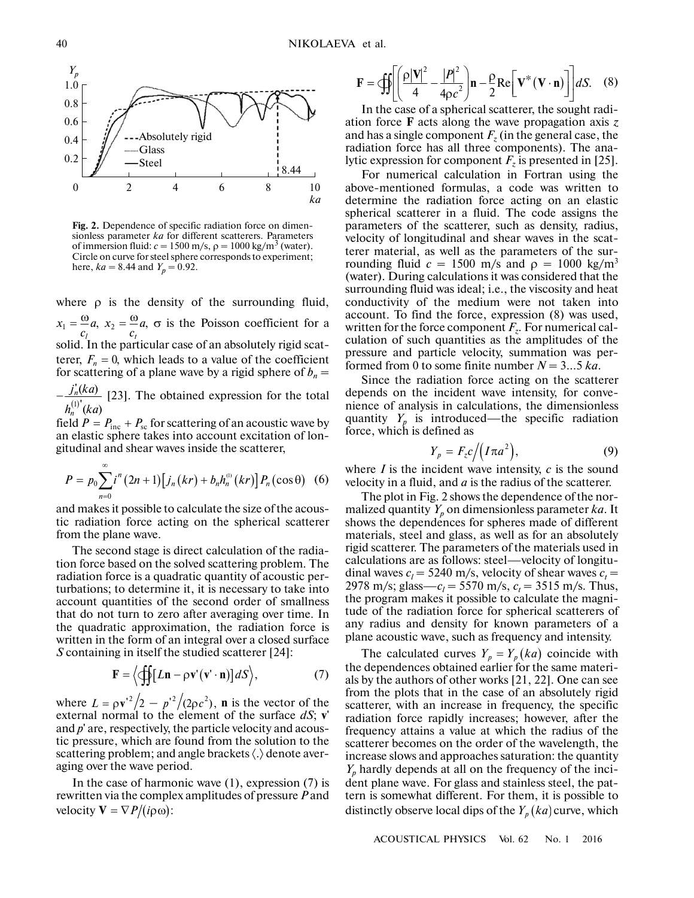

**Fig. 2.** Dependence of specific radiation force on dimen sionless parameter *ka* for different scatterers. Parameters of immersion fluid:  $c = 1500$  m/s,  $\rho = 1000$  kg/m<sup>3</sup> (water). Circle on curve for steel sphere corresponds to experiment; here,  $ka = 8.44$  and  $Y_p = 0.92$ .

where  $\rho$  is the density of the surrounding fluid,  $\alpha_1 = \frac{\omega}{a}$ ,  $x_2 = \frac{\omega}{a}$ ,  $\sigma$  is the Poisson coefficient for a solid. In the particular case of an absolutely rigid scatterer,  $F_n = 0$ , which leads to a value of the coefficient for scattering of a plane wave by a rigid sphere of  $b_n =$  $c_1$   $c_2$   $c_3$   $c_4$   $c_5$   $c_6$  and absolutely rigid scat-<br>solid. In the particular case of an absolutely rigid scat-<br>terer,  $F_n = 0$ , which leads to a value of the coefficient<br>for scattering of a plane wave by a rigid *l*  $x_1 = \frac{00}{a}a$ *c*  $a_2 = \frac{\omega}{a}$ *t*  $x_2 = \frac{w}{a}$ *c*

 $\int_0^b (ka)$ *n n j ka*  $h_n^{(1)}$  (ka

field  $P = P_{inc} + P_{sc}$  for scattering of an acoustic wave by an elastic sphere takes into account excitation of lon gitudinal and shear waves inside the scatterer,  $(Ra)$ <br> $P = P_{\text{inc}} + P_{\text{sc}}$ 

$$
P = p_0 \sum_{n=0}^{\infty} i^n (2n+1) [j_n(kr) + b_n h_n^{(0)}(kr)] P_n(\cos \theta)
$$
 (6)

and makes it possible to calculate the size of the acous tic radiation force acting on the spherical scatterer from the plane wave.

The second stage is direct calculation of the radia tion force based on the solved scattering problem. The radiation force is a quadratic quantity of acoustic per turbations; to determine it, it is necessary to take into account quantities of the second order of smallness that do not turn to zero after averaging over time. In the quadratic approximation, the radiation force is written in the form of an integral over a closed surface *S* containing in itself the studied scatterer [24]:

$$
\mathbf{F} = \left\langle \oiint [L\mathbf{n} - \rho \mathbf{v}'(\mathbf{v}' \cdot \mathbf{n})] dS \right\rangle, \tag{7}
$$

where  $L = \rho v'^2/2 - p'^2/(2\rho c^2)$ , **n** is the vector of the external normal to the element of the surface *dS*; **v**' and *p*' are, respectively, the particle velocity and acous tic pressure, which are found from the solution to the scattering problem; and angle brackets 〈.〉 denote aver aging over the wave period.  $L = \rho v'^2/2 - p'^2/(2\rho c^2),$ 

In the case of harmonic wave (1), expression (7) is rewritten via the complex amplitudes of pressure *P* and  $\text{rewritten via the compo}(\text{ip}\omega)$ :<br>velocity  $\mathbf{V} = \nabla P/(\text{ip}\omega)$ :

$$
\mathbf{F} = \mathcal{L} \left[ \left( \frac{\rho |\mathbf{V}|^2}{4} - \frac{|P|^2}{4\rho c^2} \right) \mathbf{n} - \frac{\rho}{2} \text{Re} \left[ \mathbf{V}^* (\mathbf{V} \cdot \mathbf{n}) \right] \right] dS. \quad (8)
$$

In the case of a spherical scatterer, the sought radi ation force **F** acts along the wave propagation axis *z* and has a single component  $F_z$  (in the general case, the radiation force has all three components). The ana lytic expression for component  $F_z$  is presented in [25].

For numerical calculation in Fortran using the above-mentioned formulas, a code was written to determine the radiation force acting on an elastic spherical scatterer in a fluid. The code assigns the parameters of the scatterer, such as density, radius, velocity of longitudinal and shear waves in the scat terer material, as well as the parameters of the surrounding fluid  $c = 1500$  m/s and  $\rho = 1000$  kg/m<sup>3</sup> (water). During calculations it was considered that the surrounding fluid was ideal; i.e., the viscosity and heat conductivity of the medium were not taken into account. To find the force, expression (8) was used, written for the force component *Fz*. For numerical cal culation of such quantities as the amplitudes of the pressure and particle velocity, summation was per formed from 0 to some finite number  $N = 3...5$  ka.

Since the radiation force acting on the scatterer depends on the incident wave intensity, for conve nience of analysis in calculations, the dimensionless quantity  $Y_p$  is introduced—the specific radiation force, which is defined as

$$
Y_p = F_z c / (I \pi a^2), \tag{9}
$$

where *I* is the incident wave intensity, *с* is the sound velocity in a fluid, and *a* is the radius of the scatterer.

The plot in Fig. 2 shows the dependence of the nor malized quantity  $Y_p$  on dimensionless parameter  $ka$ . It shows the dependences for spheres made of different materials, steel and glass, as well as for an absolutely rigid scatterer. The parameters of the materials used in calculations are as follows: steel—velocity of longitu dinal waves  $c_l = 5240$  m/s, velocity of shear waves  $c_t =$ 2978 m/s; glass—*c*<sub>*l*</sub> = 5570 m/s, *c*<sub>*t*</sub> = 3515 m/s. Thus, the program makes it possible to calculate the magni tude of the radiation force for spherical scatterers of any radius and density for known parameters of a plane acoustic wave, such as frequency and intensity.

The calculated curves  $Y_p = Y_p(ka)$  coincide with the dependences obtained earlier for the same materi als by the authors of other works [21, 22]. One can see from the plots that in the case of an absolutely rigid scatterer, with an increase in frequency, the specific radiation force rapidly increases; however, after the frequency attains a value at which the radius of the scatterer becomes on the order of the wavelength, the increase slows and approaches saturation: the quantity  $Y_p$  hardly depends at all on the frequency of the incident plane wave. For glass and stainless steel, the pat tern is somewhat different. For them, it is possible to distinctly observe local dips of the  $Y_p(ka)$  curve, which

ACOUSTICAL PHYSICS Vol. 62 No. 1 2016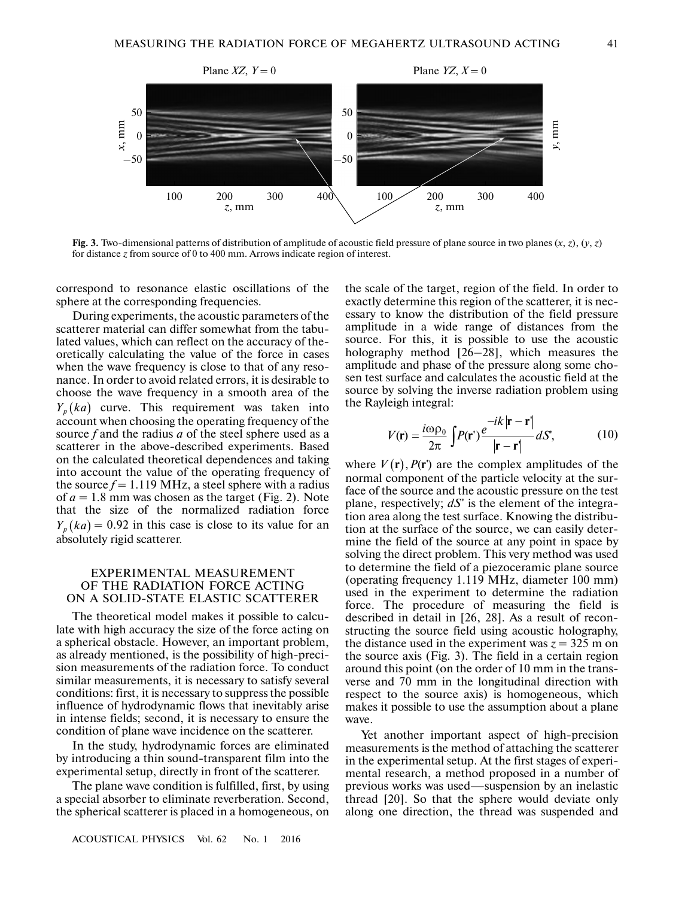

Fig. 3. Two-dimensional patterns of distribution of amplitude of acoustic field pressure of plane source in two planes  $(x, z)$ ,  $(y, z)$ for distance *z* from source of 0 to 400 mm. Arrows indicate region of interest.

correspond to resonance elastic oscillations of the sphere at the corresponding frequencies.

During experiments, the acoustic parameters of the scatterer material can differ somewhat from the tabu lated values, which can reflect on the accuracy of the oretically calculating the value of the force in cases when the wave frequency is close to that of any reso nance. In order to avoid related errors, it is desirable to choose the wave frequency in a smooth area of the  $Y_p(ka)$  curve. This requirement was taken into account when choosing the operating frequency of the source *f* and the radius *a* of the steel sphere used as a scatterer in the above-described experiments. Based on the calculated theoretical dependences and taking into account the value of the operating frequency of the source  $f = 1.119 \text{ MHz}$ , a steel sphere with a radius of  $a = 1.8$  mm was chosen as the target (Fig. 2). Note that the size of the normalized radiation force  $Y_p(ka) = 0.92$  in this case is close to its value for an absolutely rigid scatterer.

## EXPERIMENTAL MEASUREMENT OF THE RADIATION FORCE ACTING ON A SOLID-STATE ELASTIC SCATTERER

The theoretical model makes it possible to calcu late with high accuracy the size of the force acting on a spherical obstacle. However, an important problem, as already mentioned, is the possibility of high-preci sion measurements of the radiation force. To conduct similar measurements, it is necessary to satisfy several conditions: first, it is necessary to suppress the possible influence of hydrodynamic flows that inevitably arise in intense fields; second, it is necessary to ensure the condition of plane wave incidence on the scatterer.

In the study, hydrodynamic forces are eliminated by introducing a thin sound-transparent film into the experimental setup, directly in front of the scatterer.

The plane wave condition is fulfilled, first, by using a special absorber to eliminate reverberation. Second, the spherical scatterer is placed in a homogeneous, on the scale of the target, region of the field. In order to exactly determine this region of the scatterer, it is nec essary to know the distribution of the field pressure amplitude in a wide range of distances from the source. For this, it is possible to use the acoustic holography method [26–28], which measures the amplitude and phase of the pressure along some chosen test surface and calculates the acoustic field at the source by solving the inverse radiation problem using the Rayleigh integral:

$$
V(\mathbf{r}) = \frac{i\omega \rho_0}{2\pi} \int P(\mathbf{r}') \frac{e^{-ik}|\mathbf{r} - \mathbf{r}'|}{|\mathbf{r} - \mathbf{r}'|} dS', \tag{10}
$$

where  $V(\mathbf{r})$ ,  $P(\mathbf{r}')$  are the complex amplitudes of the normal component of the particle velocity at the sur face of the source and the acoustic pressure on the test plane, respectively; *dS*' is the element of the integra tion area along the test surface. Knowing the distribu tion at the surface of the source, we can easily deter mine the field of the source at any point in space by solving the direct problem. This very method was used to determine the field of a piezoceramic plane source (operating frequency 1.119 MHz, diameter 100 mm) used in the experiment to determine the radiation force. The procedure of measuring the field is described in detail in [26, 28]. As a result of recon structing the source field using acoustic holography, the distance used in the experiment was  $z = 325$  m on the source axis (Fig. 3). The field in a certain region around this point (on the order of 10 mm in the trans verse and 70 mm in the longitudinal direction with respect to the source axis) is homogeneous, which makes it possible to use the assumption about a plane wave.

Yet another important aspect of high-precision measurements is the method of attaching the scatterer in the experimental setup. At the first stages of experi mental research, a method proposed in a number of previous works was used—suspension by an inelastic thread [20]. So that the sphere would deviate only along one direction, the thread was suspended and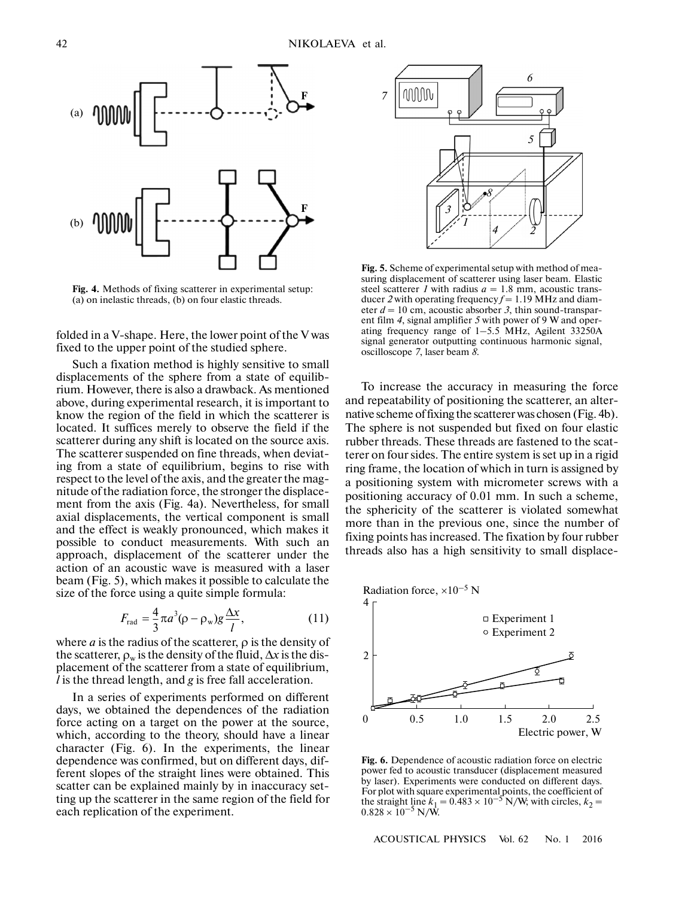

**Fig. 4.** Methods of fixing scatterer in experimental setup: (a) on inelastic threads, (b) on four elastic threads.

folded in a V-shape. Here, the lower point of the V was fixed to the upper point of the studied sphere.

Such a fixation method is highly sensitive to small displacements of the sphere from a state of equilib rium. However, there is also a drawback. As mentioned above, during experimental research, it is important to know the region of the field in which the scatterer is located. It suffices merely to observe the field if the scatterer during any shift is located on the source axis. The scatterer suspended on fine threads, when deviat ing from a state of equilibrium, begins to rise with respect to the level of the axis, and the greater the mag nitude of the radiation force, the stronger the displace ment from the axis (Fig. 4a). Nevertheless, for small axial displacements, the vertical component is small and the effect is weakly pronounced, which makes it possible to conduct measurements. With such an approach, displacement of the scatterer under the action of an acoustic wave is measured with a laser beam (Fig. 5), which makes it possible to calculate the size of the force using a quite simple formula:

$$
F_{\rm rad} = \frac{4}{3}\pi a^3 (\rho - \rho_w) g \frac{\Delta x}{l},\qquad(11)
$$

where  $a$  is the radius of the scatterer,  $\rho$  is the density of the scatterer,  $\rho_w$  is the density of the fluid,  $\Delta x$  is the displacement of the scatterer from a state of equilibrium, *l* is the thread length, and *g* is free fall acceleration.

In a series of experiments performed on different days, we obtained the dependences of the radiation force acting on a target on the power at the source, which, according to the theory, should have a linear character (Fig. 6). In the experiments, the linear dependence was confirmed, but on different days, dif ferent slopes of the straight lines were obtained. This scatter can be explained mainly by in inaccuracy set ting up the scatterer in the same region of the field for each replication of the experiment.



**Fig. 5.** Scheme of experimental setup with method of mea suring displacement of scatterer using laser beam. Elastic steel scatterer *1* with radius  $a = 1.8$  mm, acoustic transducer *2* with operating frequency *f* = 1.19 MHz and diam eter  $d = 10$  cm, acoustic absorber 3, thin sound-transparent film *4*, signal amplifier *5* with power of 9 W and oper ating frequency range of 1–5.5 MHz, Agilent 33250A signal generator outputting continuous harmonic signal, oscilloscope *7*, laser beam *8*.

To increase the accuracy in measuring the force and repeatability of positioning the scatterer, an alter native scheme of fixing the scatterer was chosen (Fig. 4b). The sphere is not suspended but fixed on four elastic rubber threads. These threads are fastened to the scat terer on four sides. The entire system is set up in a rigid ring frame, the location of which in turn is assigned by a positioning system with micrometer screws with a positioning accuracy of 0.01 mm. In such a scheme, the sphericity of the scatterer is violated somewhat more than in the previous one, since the number of fixing points has increased. The fixation by four rubber threads also has a high sensitivity to small displace-



**Fig. 6.** Dependence of acoustic radiation force on electric power fed to acoustic transducer (displacement measured by laser). Experiments were conducted on different days. For plot with square experimental points, the coefficient of the straight line  $k_1 = 0.483 \times 10^{-5}$  N/W; with circles,  $k_2 = 0.828 \times 10^{-5}$  N/W.

ACOUSTICAL PHYSICS Vol. 62 No. 1 2016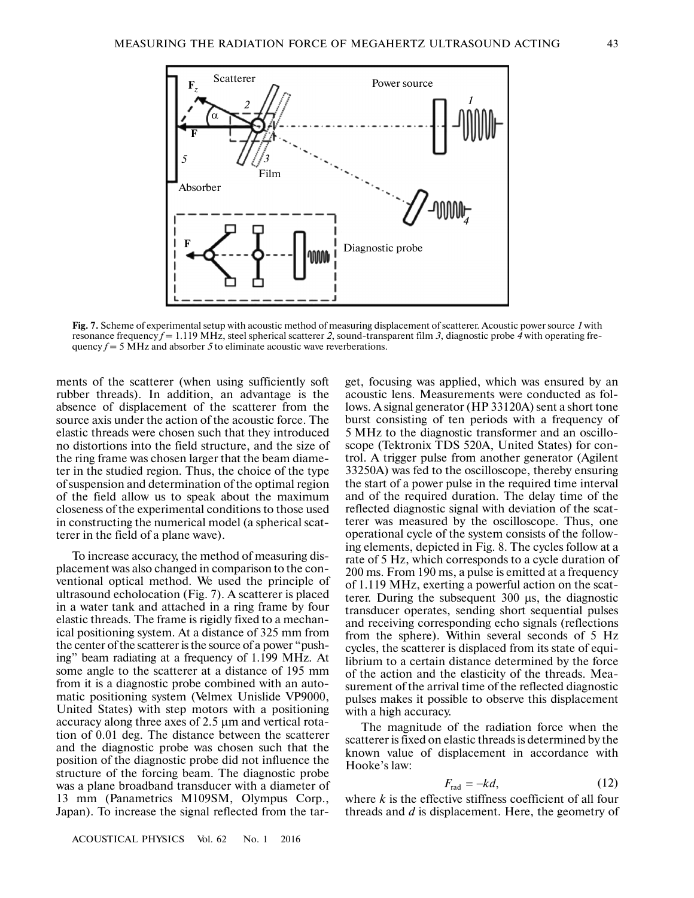

**Fig. 7.** Scheme of experimental setup with acoustic method of measuring displacement of scatterer. Acoustic power source *1* with resonance frequency *f* = 1.119 MHz, steel spherical scatterer *2*, sound-transparent film *3*, diagnostic probe *4* with operating fre quency  $f = 5$  MHz and absorber 5 to eliminate acoustic wave reverberations.

ments of the scatterer (when using sufficiently soft rubber threads). In addition, an advantage is the absence of displacement of the scatterer from the source axis under the action of the acoustic force. The elastic threads were chosen such that they introduced no distortions into the field structure, and the size of the ring frame was chosen larger that the beam diame ter in the studied region. Thus, the choice of the type of suspension and determination of the optimal region of the field allow us to speak about the maximum closeness of the experimental conditions to those used in constructing the numerical model (a spherical scat terer in the field of a plane wave).

To increase accuracy, the method of measuring dis placement was also changed in comparison to the con ventional optical method. We used the principle of ultrasound echolocation (Fig. 7). A scatterer is placed in a water tank and attached in a ring frame by four elastic threads. The frame is rigidly fixed to a mechan ical positioning system. At a distance of 325 mm from the center of the scatterer is the source of a power "push ing" beam radiating at a frequency of 1.199 MHz. At some angle to the scatterer at a distance of 195 mm from it is a diagnostic probe combined with an auto matic positioning system (Velmex Unislide VP9000, United States) with step motors with a positioning accuracy along three axes of 2.5 µm and vertical rota tion of 0.01 deg. The distance between the scatterer and the diagnostic probe was chosen such that the position of the diagnostic probe did not influence the structure of the forcing beam. The diagnostic probe was a plane broadband transducer with a diameter of 13 mm (Panametrics M109SM, Olympus Corp., Japan). To increase the signal reflected from the target, focusing was applied, which was ensured by an acoustic lens. Measurements were conducted as fol lows. A signal generator (HP 33120A) sent a short tone burst consisting of ten periods with a frequency of 5 MHz to the diagnostic transformer and an oscillo scope (Tektronix TDS 520A, United States) for con trol. A trigger pulse from another generator (Agilent 33250A) was fed to the oscilloscope, thereby ensuring the start of a power pulse in the required time interval and of the required duration. The delay time of the reflected diagnostic signal with deviation of the scat terer was measured by the oscilloscope. Thus, one operational cycle of the system consists of the follow ing elements, depicted in Fig. 8. The cycles follow at a rate of 5 Hz, which corresponds to a cycle duration of 200 ms. From 190 ms, a pulse is emitted at a frequency of 1.119 MHz, exerting a powerful action on the scat terer. During the subsequent 300 µs, the diagnostic transducer operates, sending short sequential pulses and receiving corresponding echo signals (reflections from the sphere). Within several seconds of 5 Hz cycles, the scatterer is displaced from its state of equi librium to a certain distance determined by the force of the action and the elasticity of the threads. Mea surement of the arrival time of the reflected diagnostic pulses makes it possible to observe this displacement with a high accuracy.

The magnitude of the radiation force when the scatterer is fixed on elastic threads is determined by the known value of displacement in accordance with Hooke's law:

$$
F_{\rm rad} = -k d, \tag{12}
$$

where *k* is the effective stiffness coefficient of all four threads and *d* is displacement. Here, the geometry of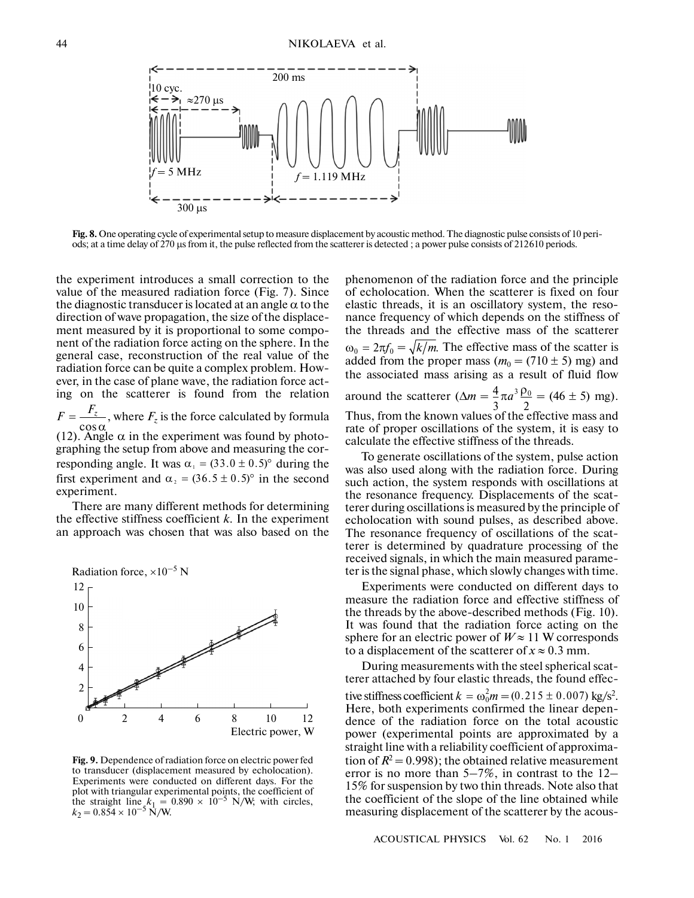

**Fig. 8.** One operating cycle of experimental setup to measure displacement by acoustic method. The diagnostic pulse consists of 10 peri ods; at a time delay of 270 µs from it, the pulse reflected from the scatterer is detected ; a power pulse consists of 212610 periods.

the experiment introduces a small correction to the value of the measured radiation force (Fig. 7). Since the diagnostic transducer is located at an angle  $\alpha$  to the direction of wave propagation, the size of the displace ment measured by it is proportional to some compo nent of the radiation force acting on the sphere. In the general case, reconstruction of the real value of the radiation force can be quite a complex problem. How ever, in the case of plane wave, the radiation force act ing on the scatterer is found from the relation

 $F = \frac{F_z}{\cos \alpha}$ , where  $F_z$  is the force calculated by formula (12). Angle  $\alpha$  in the experiment was found by photographing the setup from above and measuring the cor responding angle. It was  $\alpha_1 = (33.0 \pm 0.5)$ ° during the

first experiment and  $\alpha_2 = (36.5 \pm 0.5)$ ° in the second experiment.

There are many different methods for determining the effective stiffness coefficient *k*. In the experiment an approach was chosen that was also based on the



**Fig. 9.** Dependence of radiation force on electric power fed to transducer (displacement measured by echolocation). Experiments were conducted on different days. For the plot with triangular experimental points, the coefficient of the straight line  $k_1 = 0.890 \times 10^{-5}$  N/W; with circles,  $k_2 = 0.854 \times 10^{-5}$  N/W.

phenomenon of the radiation force and the principle of echolocation. When the scatterer is fixed on four elastic threads, it is an oscillatory system, the reso nance frequency of which depends on the stiffness of the threads and the effective mass of the scatterer  $\omega_0 = 2\pi f_0 = \sqrt{k/m}$ . The effective mass of the scatter is added from the proper mass ( $m_0 = (710 \pm 5)$  mg) and the associated mass arising as a result of fluid flow around the scatterer  $(\Delta m = \frac{4}{3}\pi a^3 \frac{\rho_0}{\rho_0} = (46 \pm 5)$  mg). Thus, from the known values of the effective mass and rate of proper oscillations of the system, it is easy to calculate the effective stiffness of the threads.  $3 \begin{array}{c} 2 \end{array}$ *a*

To generate oscillations of the system, pulse action was also used along with the radiation force. During such action, the system responds with oscillations at the resonance frequency. Displacements of the scat terer during oscillations is measured by the principle of echolocation with sound pulses, as described above. The resonance frequency of oscillations of the scat terer is determined by quadrature processing of the received signals, in which the main measured parame ter is the signal phase, which slowly changes with time.

Experiments were conducted on different days to measure the radiation force and effective stiffness of the threads by the above-described methods (Fig. 10). It was found that the radiation force acting on the sphere for an electric power of  $W \approx 11$  W corresponds to a displacement of the scatterer of  $x \approx 0.3$  mm.

During measurements with the steel spherical scat terer attached by four elastic threads, the found effec tive stiffness coefficient  $k = \omega_0^2 m = (0.215 \pm 0.007) \text{ kg/s}^2$ . Here, both experiments confirmed the linear depen dence of the radiation force on the total acoustic power (experimental points are approximated by a straight line with a reliability coefficient of approxima tion of  $R^2 = 0.998$ ); the obtained relative measurement error is no more than 5–7%, in contrast to the 12– 15% for suspension by two thin threads. Note also that the coefficient of the slope of the line obtained while measuring displacement of the scatterer by the acous-

ACOUSTICAL PHYSICS Vol. 62 No. 1 2016